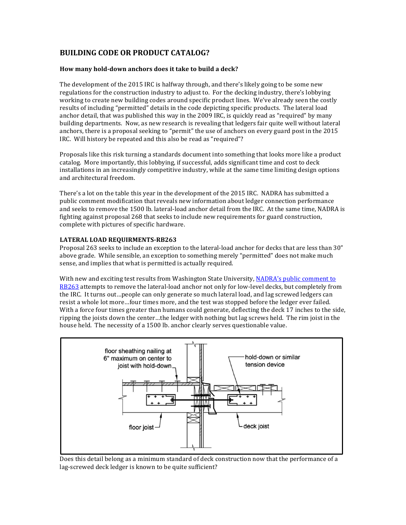# **BUILDING CODE OR PRODUCT CATALOG?**

### How many hold-down anchors does it take to build a deck?

The development of the 2015 IRC is halfway through, and there's likely going to be some new regulations for the construction industry to adjust to. For the decking industry, there's lobbying working to create new building codes around specific product lines. We've already seen the costly results of including "permitted" details in the code depicting specific products. The lateral load anchor detail, that was published this way in the 2009 IRC, is quickly read as "required" by many building departments. Now, as new research is revealing that ledgers fair quite well without lateral anchors, there is a proposal seeking to "permit" the use of anchors on every guard post in the 2015 IRC. Will history be repeated and this also be read as "required"?

Proposals like this risk turning a standards document into something that looks more like a product catalog. More importantly, this lobbying, if successful, adds significant time and cost to deck installations in an increasingly competitive industry, while at the same time limiting design options and architectural freedom.

There's a lot on the table this year in the development of the 2015 IRC. NADRA has submitted a public comment modification that reveals new information about ledger connection performance and seeks to remove the 1500 lb. lateral-load anchor detail from the IRC. At the same time, NADRA is fighting against proposal  $268$  that seeks to include new requirements for guard construction, complete with pictures of specific hardware.

## LATERAL LOAD REQUIRMENTS-RB263

Proposal 263 seeks to include an exception to the lateral-load anchor for decks that are less than 30" above grade. While sensible, an exception to something merely "permitted" does not make much sense, and implies that what is permitted is actually required.

With new and exciting test results from Washington State University, NADRA's public comment to RB263 attempts to remove the lateral-load anchor not only for low-level decks, but completely from the IRC. It turns out…people can only generate so much lateral load, and lag screwed ledgers can resist a whole lot more...four times more, and the test was stopped before the ledger ever failed. With a force four times greater than humans could generate, deflecting the deck 17 inches to the side, ripping the joists down the center...the ledger with nothing but lag screws held. The rim joist in the house held. The necessity of a 1500 lb. anchor clearly serves questionable value.



Does this detail belong as a minimum standard of deck construction now that the performance of a lag-screwed deck ledger is known to be quite sufficient?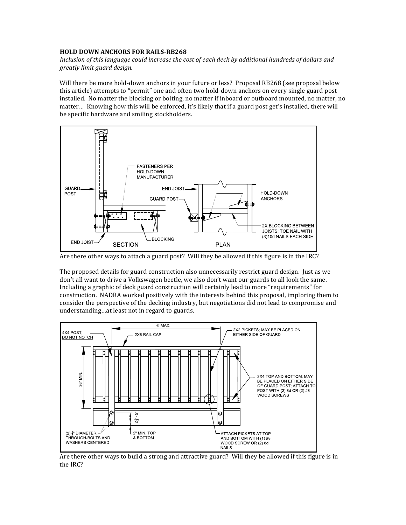# **HOLD DOWN ANCHORS FOR RAILS-RB268**

*Inclusion of this language could increase the cost of each deck by additional hundreds of dollars and greatly limit guard design.*

Will there be more hold-down anchors in your future or less? Proposal RB268 (see proposal below this article) attempts to "permit" one and often two hold-down anchors on every single guard post installed. No matter the blocking or bolting, no matter if inboard or outboard mounted, no matter, no matter... Knowing how this will be enforced, it's likely that if a guard post get's installed, there will be specific hardware and smiling stockholders.



Are there other ways to attach a guard post? Will they be allowed if this figure is in the IRC?

The proposed details for guard construction also unnecessarily restrict guard design. Just as we don't all want to drive a Volkswagen beetle, we also don't want our guards to all look the same. Including a graphic of deck guard construction will certainly lead to more "requirements" for construction. NADRA worked positively with the interests behind this proposal, imploring them to consider the perspective of the decking industry, but negotiations did not lead to compromise and understanding...at least not in regard to guards.



Are there other ways to build a strong and attractive guard? Will they be allowed if this figure is in the IRC?